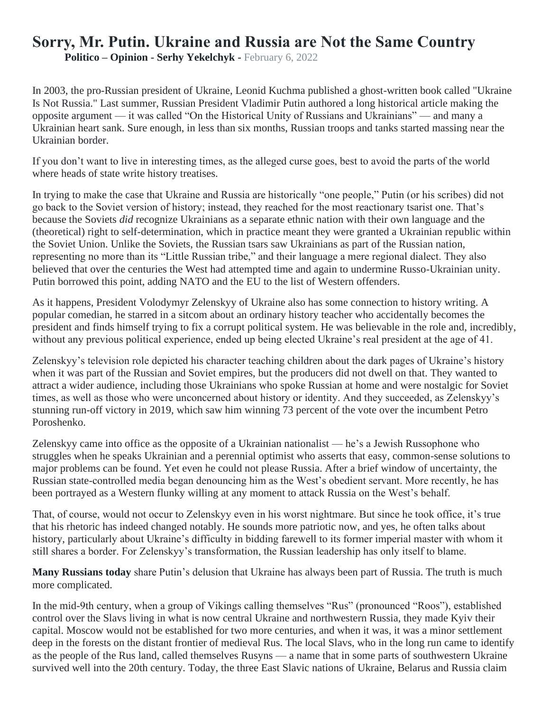## **Sorry, Mr. Putin. Ukraine and Russia are Not the Same Country**

**Politico – Opinion - Serhy Yekelchyk -** February 6, 2022

In 2003, the pro-Russian president of Ukraine, Leonid Kuchma published a ghost-written book called "Ukraine Is Not Russia." Last summer, Russian President Vladimir Putin authored a long historical article making the opposite argument — it was called "On the Historical Unity of Russians and Ukrainians" — and many a Ukrainian heart sank. Sure enough, in less than six months, Russian troops and tanks started massing near the Ukrainian border.

If you don't want to live in interesting times, as the alleged curse goes, best to avoid the parts of the world where heads of state write history treatises.

In trying to make the case that Ukraine and Russia are historically "one people," Putin (or his scribes) did not go back to the Soviet version of history; instead, they reached for the most reactionary tsarist one. That's because the Soviets *did* recognize Ukrainians as a separate ethnic nation with their own language and the (theoretical) right to self-determination, which in practice meant they were granted a Ukrainian republic within the Soviet Union. Unlike the Soviets, the Russian tsars saw Ukrainians as part of the Russian nation, representing no more than its "Little Russian tribe," and their language a mere regional dialect. They also believed that over the centuries the West had attempted time and again to undermine Russo-Ukrainian unity. Putin borrowed this point, adding NATO and the EU to the list of Western offenders.

As it happens, President Volodymyr Zelenskyy of Ukraine also has some connection to history writing. A popular comedian, he starred in a sitcom about an ordinary history teacher who accidentally becomes the president and finds himself trying to fix a corrupt political system. He was believable in the role and, incredibly, without any previous political experience, ended up being elected Ukraine's real president at the age of 41.

Zelenskyy's television role depicted his character teaching children about the dark pages of Ukraine's history when it was part of the Russian and Soviet empires, but the producers did not dwell on that. They wanted to attract a wider audience, including those Ukrainians who spoke Russian at home and were nostalgic for Soviet times, as well as those who were unconcerned about history or identity. And they succeeded, as Zelenskyy's stunning run-off victory in 2019, which saw him winning 73 percent of the vote over the incumbent Petro Poroshenko.

Zelenskyy came into office as the opposite of a Ukrainian nationalist — he's a Jewish Russophone who struggles when he speaks Ukrainian and a perennial optimist who asserts that easy, common-sense solutions to major problems can be found. Yet even he could not please Russia. After a brief window of uncertainty, the Russian state-controlled media began denouncing him as the West's obedient servant. More recently, he has been portrayed as a Western flunky willing at any moment to attack Russia on the West's behalf.

That, of course, would not occur to Zelenskyy even in his worst nightmare. But since he took office, it's true that his rhetoric has indeed changed notably. He sounds more patriotic now, and yes, he often talks about history, particularly about Ukraine's difficulty in bidding farewell to its former imperial master with whom it still shares a border. For Zelenskyy's transformation, the Russian leadership has only itself to blame.

**Many Russians today** share Putin's delusion that Ukraine has always been part of Russia. The truth is much more complicated.

In the mid-9th century, when a group of Vikings calling themselves "Rus" (pronounced "Roos"), established control over the Slavs living in what is now central Ukraine and northwestern Russia, they made Kyiv their capital. Moscow would not be established for two more centuries, and when it was, it was a minor settlement deep in the forests on the distant frontier of medieval Rus. The local Slavs, who in the long run came to identify as the people of the Rus land, called themselves Rusyns — a name that in some parts of southwestern Ukraine survived well into the 20th century. Today, the three East Slavic nations of Ukraine, Belarus and Russia claim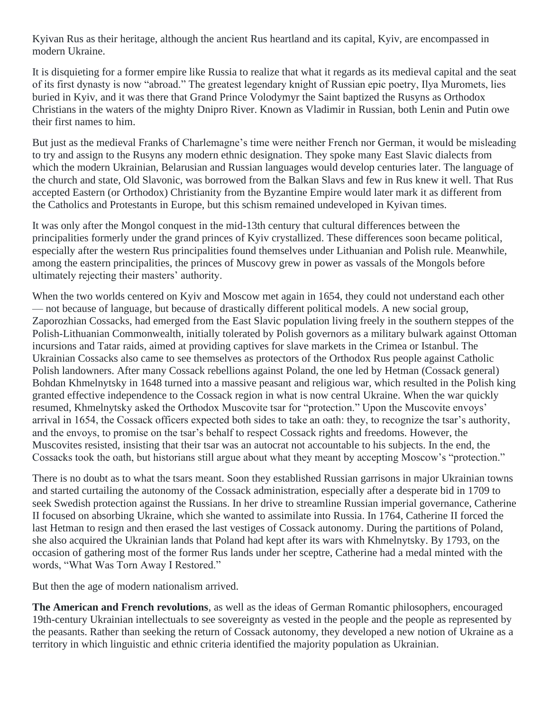Kyivan Rus as their heritage, although the ancient Rus heartland and its capital, Kyiv, are encompassed in modern Ukraine.

It is disquieting for a former empire like Russia to realize that what it regards as its medieval capital and the seat of its first dynasty is now "abroad." The greatest legendary knight of Russian epic poetry, Ilya Muromets, lies buried in Kyiv, and it was there that Grand Prince Volodymyr the Saint baptized the Rusyns as Orthodox Christians in the waters of the mighty Dnipro River. Known as Vladimir in Russian, both Lenin and Putin owe their first names to him.

But just as the medieval Franks of Charlemagne's time were neither French nor German, it would be misleading to try and assign to the Rusyns any modern ethnic designation. They spoke many East Slavic dialects from which the modern Ukrainian, Belarusian and Russian languages would develop centuries later. The language of the church and state, Old Slavonic, was borrowed from the Balkan Slavs and few in Rus knew it well. That Rus accepted Eastern (or Orthodox) Christianity from the Byzantine Empire would later mark it as different from the Catholics and Protestants in Europe, but this schism remained undeveloped in Kyivan times.

It was only after the Mongol conquest in the mid-13th century that cultural differences between the principalities formerly under the grand princes of Kyiv crystallized. These differences soon became political, especially after the western Rus principalities found themselves under Lithuanian and Polish rule. Meanwhile, among the eastern principalities, the princes of Muscovy grew in power as vassals of the Mongols before ultimately rejecting their masters' authority.

When the two worlds centered on Kyiv and Moscow met again in 1654, they could not understand each other — not because of language, but because of drastically different political models. A new social group, Zaporozhian Cossacks, had emerged from the East Slavic population living freely in the southern steppes of the Polish-Lithuanian Commonwealth, initially tolerated by Polish governors as a military bulwark against Ottoman incursions and Tatar raids, aimed at providing captives for slave markets in the Crimea or Istanbul. The Ukrainian Cossacks also came to see themselves as protectors of the Orthodox Rus people against Catholic Polish landowners. After many Cossack rebellions against Poland, the one led by Hetman (Cossack general) Bohdan Khmelnytsky in 1648 turned into a massive peasant and religious war, which resulted in the Polish king granted effective independence to the Cossack region in what is now central Ukraine. When the war quickly resumed, Khmelnytsky asked the Orthodox Muscovite tsar for "protection." Upon the Muscovite envoys' arrival in 1654, the Cossack officers expected both sides to take an oath: they, to recognize the tsar's authority, and the envoys, to promise on the tsar's behalf to respect Cossack rights and freedoms. However, the Muscovites resisted, insisting that their tsar was an autocrat not accountable to his subjects. In the end, the Cossacks took the oath, but historians still argue about what they meant by accepting Moscow's "protection."

There is no doubt as to what the tsars meant. Soon they established Russian garrisons in major Ukrainian towns and started curtailing the autonomy of the Cossack administration, especially after a desperate bid in 1709 to seek Swedish protection against the Russians. In her drive to streamline Russian imperial governance, Catherine II focused on absorbing Ukraine, which she wanted to assimilate into Russia. In 1764, Catherine II forced the last Hetman to resign and then erased the last vestiges of Cossack autonomy. During the partitions of Poland, she also acquired the Ukrainian lands that Poland had kept after its wars with Khmelnytsky. By 1793, on the occasion of gathering most of the former Rus lands under her sceptre, Catherine had a medal minted with the words, "What Was Torn Away I Restored."

But then the age of modern nationalism arrived.

**The American and French revolutions**, as well as the ideas of German Romantic philosophers, encouraged 19th-century Ukrainian intellectuals to see sovereignty as vested in the people and the people as represented by the peasants. Rather than seeking the return of Cossack autonomy, they developed a new notion of Ukraine as a territory in which linguistic and ethnic criteria identified the majority population as Ukrainian.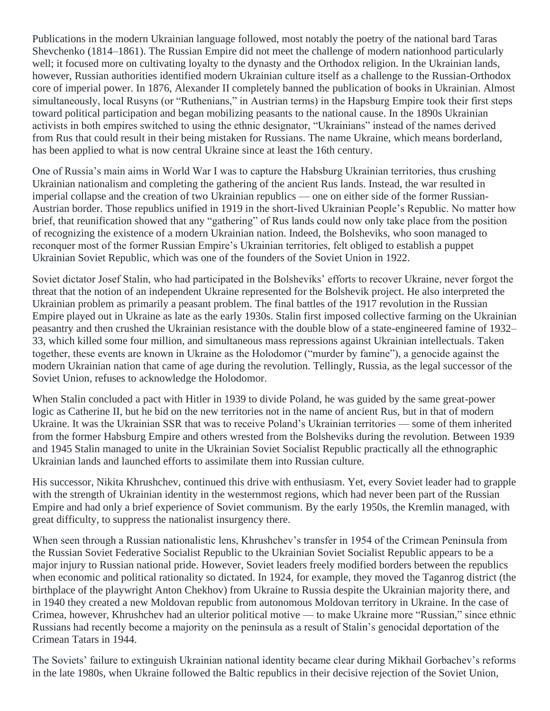Publications in the modern Ukrainian language followed, most notably the poetry of the national bard Taras Shevchenko (1814–1861). The Russian Empire did not meet the challenge of modern nationhood particularly well; it focused more on cultivating loyalty to the dynasty and the Orthodox religion. In the Ukrainian lands, however, Russian authorities identified modern Ukrainian culture itself as a challenge to the Russian-Orthodox core of imperial power. In 1876, Alexander II completely banned the publication of books in Ukrainian. Almost simultaneously, local Rusyns (or "Ruthenians," in Austrian terms) in the Hapsburg Empire took their first steps toward political participation and began mobilizing peasants to the national cause. In the 1890s Ukrainian activists in both empires switched to using the ethnic designator, "Ukrainians" instead of the names derived from Rus that could result in their being mistaken for Russians. The name Ukraine, which means borderland, has been applied to what is now central Ukraine since at least the 16th century.

One of Russia's main aims in World War I was to capture the Habsburg Ukrainian territories, thus crushing Ukrainian nationalism and completing the gathering of the ancient Rus lands. Instead, the war resulted in imperial collapse and the creation of two Ukrainian republics — one on either side of the former Russian-Austrian border. Those republics unified in 1919 in the short-lived Ukrainian People's Republic. No matter how brief, that reunification showed that any "gathering" of Rus lands could now only take place from the position of recognizing the existence of a modern Ukrainian nation. Indeed, the Bolsheviks, who soon managed to reconquer most of the former Russian Empire's Ukrainian territories, felt obliged to establish a puppet Ukrainian Soviet Republic, which was one of the founders of the Soviet Union in 1922.

Soviet dictator Josef Stalin, who had participated in the Bolsheviks' efforts to recover Ukraine, never forgot the threat that the notion of an independent Ukraine represented for the Bolshevik project. He also interpreted the Ukrainian problem as primarily a peasant problem. The final battles of the 1917 revolution in the Russian Empire played out in Ukraine as late as the early 1930s. Stalin first imposed collective farming on the Ukrainian peasantry and then crushed the Ukrainian resistance with the double blow of a state-engineered famine of 1932– 33, which killed some four million, and simultaneous mass repressions against Ukrainian intellectuals. Taken together, these events are known in Ukraine as the Holodomor ("murder by famine"), a genocide against the modern Ukrainian nation that came of age during the revolution. Tellingly, Russia, as the legal successor of the Soviet Union, refuses to acknowledge the Holodomor.

When Stalin concluded a pact with Hitler in 1939 to divide Poland, he was guided by the same great-power logic as Catherine II, but he bid on the new territories not in the name of ancient Rus, but in that of modern Ukraine. It was the Ukrainian SSR that was to receive Poland's Ukrainian territories — some of them inherited from the former Habsburg Empire and others wrested from the Bolsheviks during the revolution. Between 1939 and 1945 Stalin managed to unite in the Ukrainian Soviet Socialist Republic practically all the ethnographic Ukrainian lands and launched efforts to assimilate them into Russian culture.

His successor, Nikita Khrushchev, continued this drive with enthusiasm. Yet, every Soviet leader had to grapple with the strength of Ukrainian identity in the westernmost regions, which had never been part of the Russian Empire and had only a brief experience of Soviet communism. By the early 1950s, the Kremlin managed, with great difficulty, to suppress the nationalist insurgency there.

When seen through a Russian nationalistic lens, Khrushchev's transfer in 1954 of the Crimean Peninsula from the Russian Soviet Federative Socialist Republic to the Ukrainian Soviet Socialist Republic appears to be a major injury to Russian national pride. However, Soviet leaders freely modified borders between the republics when economic and political rationality so dictated. In 1924, for example, they moved the Taganrog district (the birthplace of the playwright Anton Chekhov) from Ukraine to Russia despite the Ukrainian majority there, and in 1940 they created a new Moldovan republic from autonomous Moldovan territory in Ukraine. In the case of Crimea, however, Khrushchev had an ulterior political motive — to make Ukraine more "Russian," since ethnic Russians had recently become a majority on the peninsula as a result of Stalin's genocidal deportation of the Crimean Tatars in 1944.

The Soviets' failure to extinguish Ukrainian national identity became clear during Mikhail Gorbachev's reforms in the late 1980s, when Ukraine followed the Baltic republics in their decisive rejection of the Soviet Union,